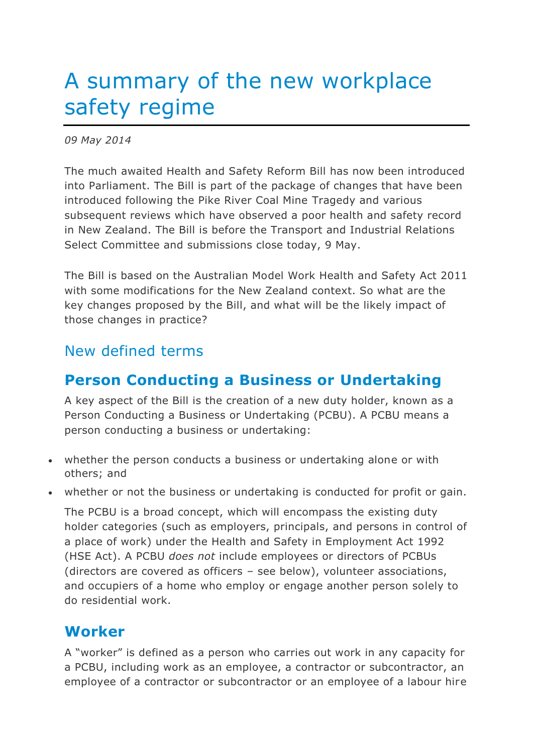# A summary of the new workplace safety regime

*09 May 2014*

The much awaited Health and Safety Reform Bill has now been introduced into Parliament. The Bill is part of the package of changes that have been introduced following the Pike River Coal Mine Tragedy and various subsequent reviews which have observed a poor health and safety record in New Zealand. The Bill is before the Transport and Industrial Relations Select Committee and submissions close today, 9 May.

The Bill is based on the Australian Model Work Health and Safety Act 2011 with some modifications for the New Zealand context. So what are the key changes proposed by the Bill, and what will be the likely impact of those changes in practice?

#### New defined terms

# **Person Conducting a Business or Undertaking**

A key aspect of the Bill is the creation of a new duty holder, known as a Person Conducting a Business or Undertaking (PCBU). A PCBU means a person conducting a business or undertaking:

- whether the person conducts a business or undertaking alone or with others; and
- whether or not the business or undertaking is conducted for profit or gain.

The PCBU is a broad concept, which will encompass the existing duty holder categories (such as employers, principals, and persons in control of a place of work) under the Health and Safety in Employment Act 1992 (HSE Act). A PCBU *does not* include employees or directors of PCBUs (directors are covered as officers – see below), volunteer associations, and occupiers of a home who employ or engage another person solely to do residential work.

## **Worker**

A "worker" is defined as a person who carries out work in any capacity for a PCBU, including work as an employee, a contractor or subcontractor, an employee of a contractor or subcontractor or an employee of a labour hire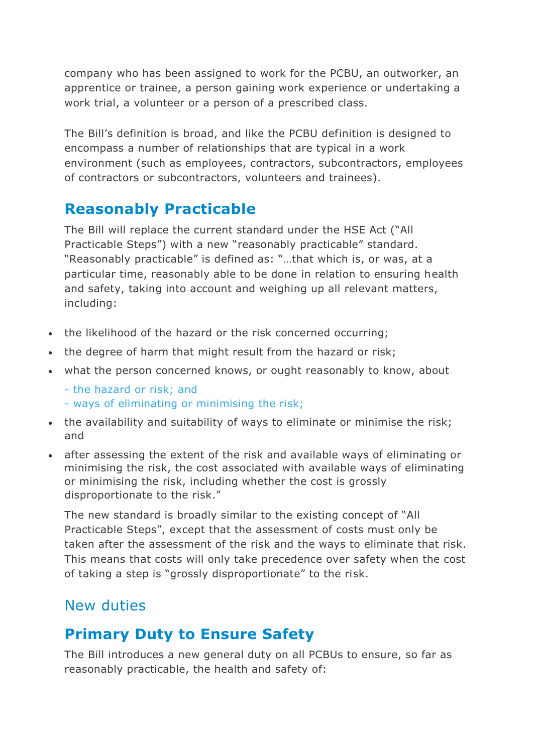company who has been assigned to work for the PCBU, an outworker, an apprentice or trainee, a person gaining work experience or undertaking a work trial, a volunteer or a person of a prescribed class.

The Bill's definition is broad, and like the PCBU definition is designed to encompass a number of relationships that are typical in a work environment (such as employees, contractors, subcontractors, employees of contractors or subcontractors, volunteers and trainees).

## **Reasonably Practicable**

The Bill will replace the current standard under the HSE Act ("All Practicable Steps") with a new "reasonably practicable" standard. "Reasonably practicable" is defined as: "…that which is, or was, at a particular time, reasonably able to be done in relation to ensuring health and safety, taking into account and weighing up all relevant matters, including:

- the likelihood of the hazard or the risk concerned occurring;
- the degree of harm that might result from the hazard or risk;
- what the person concerned knows, or ought reasonably to know, about
	- the hazard or risk; and
	- ways of eliminating or minimising the risk;
- the availability and suitability of ways to eliminate or minimise the risk; and
- after assessing the extent of the risk and available ways of eliminating or minimising the risk, the cost associated with available ways of eliminating or minimising the risk, including whether the cost is grossly disproportionate to the risk."

The new standard is broadly similar to the existing concept of "All Practicable Steps", except that the assessment of costs must only be taken after the assessment of the risk and the ways to eliminate that risk. This means that costs will only take precedence over safety when the cost of taking a step is "grossly disproportionate" to the risk.

# New duties

# **Primary Duty to Ensure Safety**

The Bill introduces a new general duty on all PCBUs to ensure, so far as reasonably practicable, the health and safety of: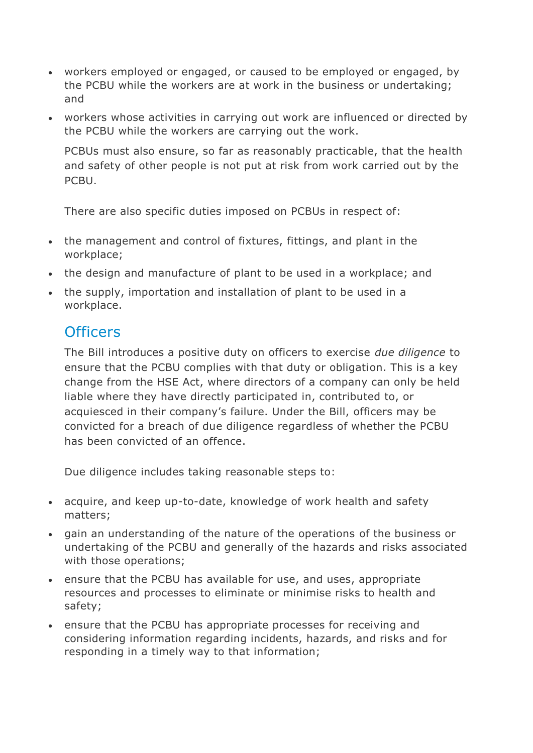- workers employed or engaged, or caused to be employed or engaged, by the PCBU while the workers are at work in the business or undertaking; and
- workers whose activities in carrying out work are influenced or directed by the PCBU while the workers are carrying out the work.

PCBUs must also ensure, so far as reasonably practicable, that the health and safety of other people is not put at risk from work carried out by the PCBU.

There are also specific duties imposed on PCBUs in respect of:

- the management and control of fixtures, fittings, and plant in the workplace;
- the design and manufacture of plant to be used in a workplace; and
- the supply, importation and installation of plant to be used in a workplace.

#### **Officers**

The Bill introduces a positive duty on officers to exercise *due diligence* to ensure that the PCBU complies with that duty or obligation. This is a key change from the HSE Act, where directors of a company can only be held liable where they have directly participated in, contributed to, or acquiesced in their company's failure. Under the Bill, officers may be convicted for a breach of due diligence regardless of whether the PCBU has been convicted of an offence.

Due diligence includes taking reasonable steps to:

- acquire, and keep up-to-date, knowledge of work health and safety matters;
- gain an understanding of the nature of the operations of the business or undertaking of the PCBU and generally of the hazards and risks associated with those operations;
- ensure that the PCBU has available for use, and uses, appropriate resources and processes to eliminate or minimise risks to health and safety;
- ensure that the PCBU has appropriate processes for receiving and considering information regarding incidents, hazards, and risks and for responding in a timely way to that information;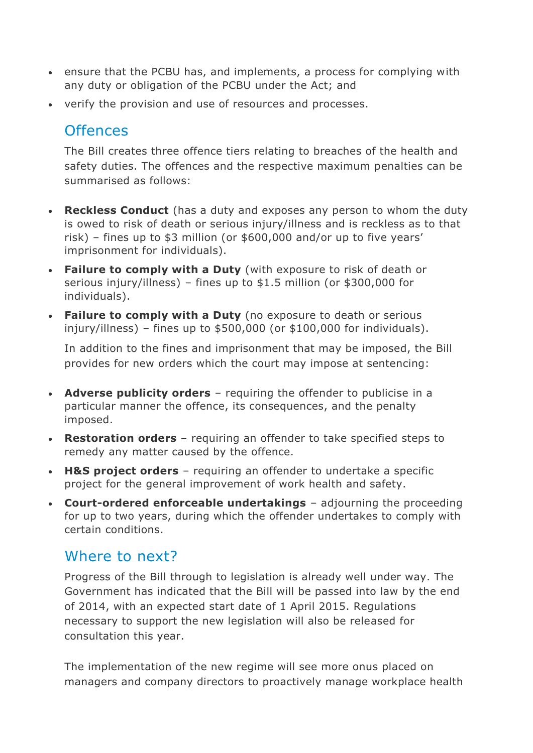- ensure that the PCBU has, and implements, a process for complying with any duty or obligation of the PCBU under the Act; and
- verify the provision and use of resources and processes.

#### **Offences**

The Bill creates three offence tiers relating to breaches of the health and safety duties. The offences and the respective maximum penalties can be summarised as follows:

- **Reckless Conduct** (has a duty and exposes any person to whom the duty is owed to risk of death or serious injury/illness and is reckless as to that risk) – fines up to \$3 million (or \$600,000 and/or up to five years' imprisonment for individuals).
- **Failure to comply with a Duty** (with exposure to risk of death or serious injury/illness) – fines up to \$1.5 million (or \$300,000 for individuals).
- **Failure to comply with a Duty** (no exposure to death or serious injury/illness) – fines up to \$500,000 (or \$100,000 for individuals).

In addition to the fines and imprisonment that may be imposed, the Bill provides for new orders which the court may impose at sentencing:

- **Adverse publicity orders** requiring the offender to publicise in a particular manner the offence, its consequences, and the penalty imposed.
- **Restoration orders** requiring an offender to take specified steps to remedy any matter caused by the offence.
- **H&S project orders** requiring an offender to undertake a specific project for the general improvement of work health and safety.
- **Court-ordered enforceable undertakings** adjourning the proceeding for up to two years, during which the offender undertakes to comply with certain conditions.

## Where to next?

Progress of the Bill through to legislation is already well under way. The Government has indicated that the Bill will be passed into law by the end of 2014, with an expected start date of 1 April 2015. Regulations necessary to support the new legislation will also be released for consultation this year.

The implementation of the new regime will see more onus placed on managers and company directors to proactively manage workplace health